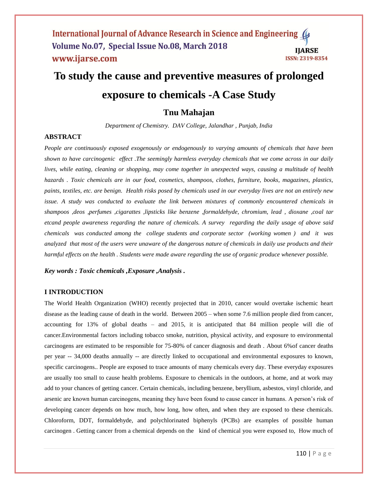#### International Journal of Advance Research in Science and Engineering ( Volume No.07, Special Issue No.08, March 2018 **IIARSE** www.ijarse.com **ISSN: 2319-8354**

# **To study the cause and preventive measures of prolonged exposure to chemicals -A Case Study**

# **Tnu Mahajan**

*Department of Chemistry. DAV College, Jalandhar , Punjab, India*

#### **ABSTRACT**

*People are continuously exposed exogenously or endogenously to varying amounts of chemicals that have been shown to have carcinogenic effect .The seemingly harmless everyday chemicals that we come across in our daily lives, while eating, cleaning or shopping, may come together in unexpected ways, causing a multitude of health hazards . Toxic chemicals are in our food, cosmetics, shampoos, clothes, furniture, books, magazines, plastics, paints, textiles, etc. are benign. Health risks posed by chemicals used in our everyday lives are not an entirely new issue. A study was conducted to evaluate the link between mixtures of commonly encountered chemicals in shampoos ,deos ,perfumes ,cigarattes ,lipsticks like benzene ,formaldehyde, chromium, lead , dioxane ,coal tar etcand people awareness regarding the nature of chemicals. A survey regarding the daily usage of above said chemicals was conducted among the college students and corporate sector (working women ) and it was analyzed that most of the users were unaware of the dangerous nature of chemicals in daily use products and their harmful effects on the health . Students were made aware regarding the use of organic produce whenever possible.*

*Key words : Toxic chemicals ,Exposure ,Analysis .*

#### **I INTRODUCTION**

The World Health Organization (WHO) recently projected that in 2010, cancer would overtake ischemic heart disease as the leading cause of death in the world. Between 2005 – when some 7.6 million people died from cancer, accounting for 13% of global deaths – and 2015, it is anticipated that 84 million people will die of cancer.Environmental factors including tobacco smoke, nutrition, physical activity, and exposure to environmental carcinogens are estimated to be responsible for 75-80% of cancer diagnosis and death . About 6%of cancer deaths per year -- 34,000 deaths annually -- are directly linked to occupational and environmental exposures to known, specific carcinogens.. People are exposed to trace amounts of many chemicals every day. These everyday exposures are usually too small to cause health problems. Exposure to chemicals in the outdoors, at home, and at work may add to your chances of getting cancer. Certain chemicals, including benzene, beryllium, asbestos, vinyl chloride, and arsenic are known human carcinogens, meaning they have been found to cause cancer in humans. A person's risk of developing cancer depends on how much, how long, how often, and when they are exposed to these chemicals. Chloroform, DDT, formaldehyde, and polychlorinated biphenyls (PCBs) are examples of possible human carcinogen . Getting cancer from a chemical depends on the kind of chemical you were exposed to, How much of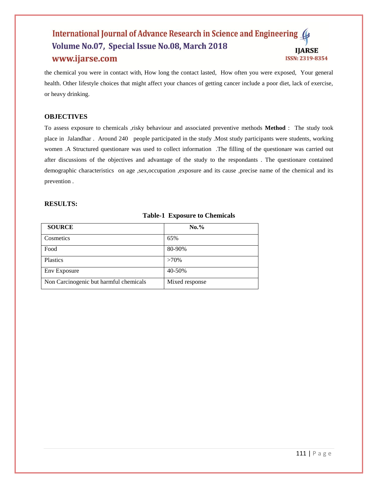#### International Journal of Advance Research in Science and Engineering 4 Volume No.07, Special Issue No.08, March 2018 **IJARSE** www.ijarse.com ISSN: 2319-8354

the chemical you were in contact with, How long the contact lasted, How often you were exposed, Your general health. Other lifestyle choices that might affect your chances of getting cancer include a poor diet, lack of exercise, or heavy drinking.

# **OBJECTIVES**

To assess exposure to chemicals ,risky behaviour and associated preventive methods **Method** : The study took place in Jalandhar . Around 240 people participated in the study .Most study participants were students, working women .A Structured questionare was used to collect information .The filling of the questionare was carried out after discussions of the objectives and advantage of the study to the respondants . The questionare contained demographic characteristics on age ,sex,occupation ,exposure and its cause ,precise name of the chemical and its prevention .

#### **RESULTS:**

#### **Table-1 Exposure to Chemicals**

| <b>SOURCE</b>                          | $No. \%$       |
|----------------------------------------|----------------|
| Cosmetics                              | 65%            |
| Food                                   | 80-90%         |
| <b>Plastics</b>                        | $>70\%$        |
| Env Exposure                           | 40-50%         |
| Non Carcinogenic but harmful chemicals | Mixed response |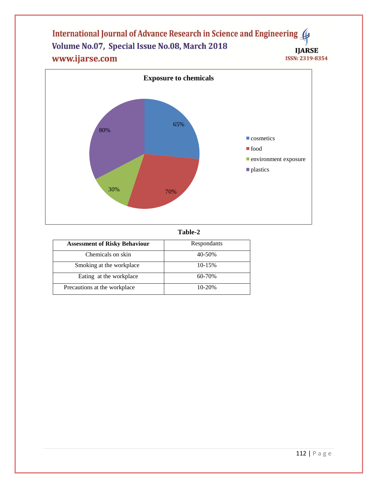## International Journal of Advance Research in Science and Engineering ( Volume No.07, Special Issue No.08, March 2018 **IJARSE** www.ijarse.com ISSN: 2319-8354



**Table-2**

| <b>Assessment of Risky Behaviour</b> | Respondants |
|--------------------------------------|-------------|
| Chemicals on skin                    | 40-50%      |
| Smoking at the workplace             | $10 - 15%$  |
| Eating at the workplace              | 60-70%      |
| Precautions at the workplace         | $10 - 20%$  |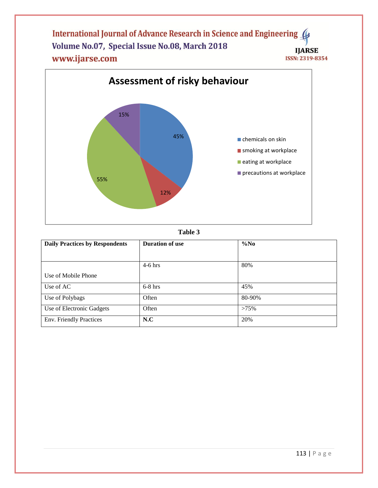International Journal of Advance Research in Science and Engineering ( Volume No.07, Special Issue No.08, March 2018 **IJARSE** www.ijarse.com **ISSN: 2319-8354** 





| <b>Daily Practices by Respondents</b> | <b>Duration of use</b> | $\%No$  |
|---------------------------------------|------------------------|---------|
|                                       |                        |         |
|                                       | $4-6$ hrs              | 80%     |
| Use of Mobile Phone                   |                        |         |
| Use of AC                             | $6-8$ hrs              | 45%     |
| Use of Polybags                       | Often                  | 80-90%  |
| Use of Electronic Gadgets             | Often                  | $>75\%$ |
| Env. Friendly Practices               | N.C                    | 20%     |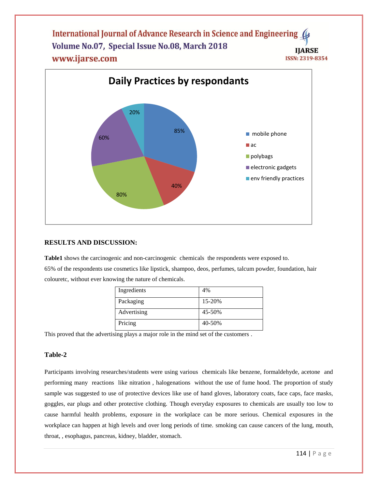International Journal of Advance Research in Science and Engineering Volume No.07, Special Issue No.08, March 2018 **IIARSE** www.ijarse.com ISSN: 2319-8354



# **RESULTS AND DISCUSSION:**

**Table1** shows the carcinogenic and non-carcinogenic chemicals the respondents were exposed to. 65% of the respondents use cosmetics like lipstick, shampoo, deos, perfumes, talcum powder, foundation, hair colouretc, without ever knowing the nature of chemicals.

| Ingredients | 4%     |
|-------------|--------|
| Packaging   | 15-20% |
| Advertising | 45-50% |
| Pricing     | 40-50% |

This proved that the advertising plays a major role in the mind set of the customers .

#### **Table-2**

Participants involving researches/students were using various chemicals like benzene, formaldehyde, acetone and performing many reactions like nitration , halogenations without the use of fume hood. The proportion of study sample was suggested to use of protective devices like use of hand gloves, laboratory coats, face caps, face masks, goggles, ear plugs and other protective clothing. Though everyday exposures to chemicals are usually too low to cause harmful health problems, exposure in the workplace can be more serious. Chemical exposures in the workplace can happen at high levels and over long periods of time. smoking can cause cancers of the lung, mouth, throat, , esophagus, pancreas, kidney, bladder, stomach.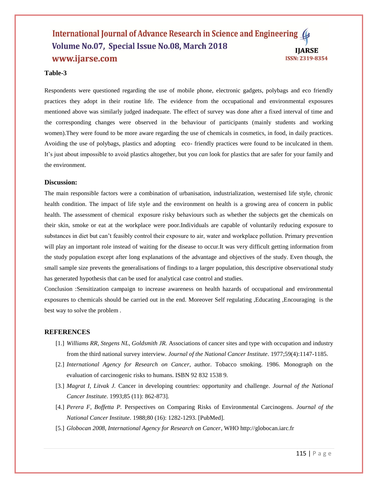#### International Journal of Advance Research in Science and Engineering Volume No.07, Special Issue No.08, March 2018 **IIARSE** www.ijarse.com **ISSN: 2319-8354**

# **Table-3**

Respondents were questioned regarding the use of mobile phone, electronic gadgets, polybags and eco friendly practices they adopt in their routine life. The evidence from the occupational and environmental exposures mentioned above was similarly judged inadequate. The effect of survey was done after a fixed interval of time and the corresponding changes were observed in the behaviour of participants (mainly students and working women).They were found to be more aware regarding the use of chemicals in cosmetics, in food, in daily practices. Avoiding the use of polybags, plastics and adopting eco- friendly practices were found to be inculcated in them. It's just about impossible to avoid plastics altogether, but you *can* look for plastics that are safer for your family and the environment.

#### **Discussion:**

The main responsible factors were a combination of urbanisation, industrialization, westernised life style, chronic health condition. The impact of life style and the environment on health is a growing area of concern in public health. The assessment of chemical exposure risky behaviours such as whether the subjects get the chemicals on their skin, smoke or eat at the workplace were poor.Individuals are capable of voluntarily reducing exposure to substances in diet but can't feasibly control their exposure to air, water and workplace pollution. Primary prevention will play an important role instead of waiting for the disease to occur.It was very difficult getting information from the study population except after long explanations of the advantage and objectives of the study. Even though, the small sample size prevents the generalisations of findings to a larger population, this descriptive observational study has generated hypothesis that can be used for analytical case control and studies.

Conclusion :Sensitization campaign to increase awareness on health hazards of occupational and environmental exposures to chemicals should be carried out in the end. Moreover Self regulating ,Educating ,Encouraging is the best way to solve the problem .

#### **REFERENCES**

- [1.] *Williams RR, Stegens NL, Goldsmith JR.* Associations of cancer sites and type with occupation and industry from the third national survey interview. *Journal of the National Cancer Institute*. 1977;59(4):1147-1185.
- [2.] *International Agency for Research on Cancer,* author. Tobacco smoking. 1986. Monograph on the evaluation of carcinogenic risks to humans. ISBN 92 832 1538 9.
- [3.] *Magrat I, Litvak J.* Cancer in developing countries: opportunity and challenge*. Journal of the National Cancer Institute*. 1993;85 (11): 862-873].
- [4.] *Perera F, Boffetta P.* Perspectives on Comparing Risks of Environmental Carcinogens*. Journal of the National Cancer Institute*. 1988;80 (16): 1282-1293. [PubMed].
- [5.] *Globocan 2008, International Agency for Research on Cancer*, WHO [http://globocan.iarc.fr](http://globocan.iarc.fr/)